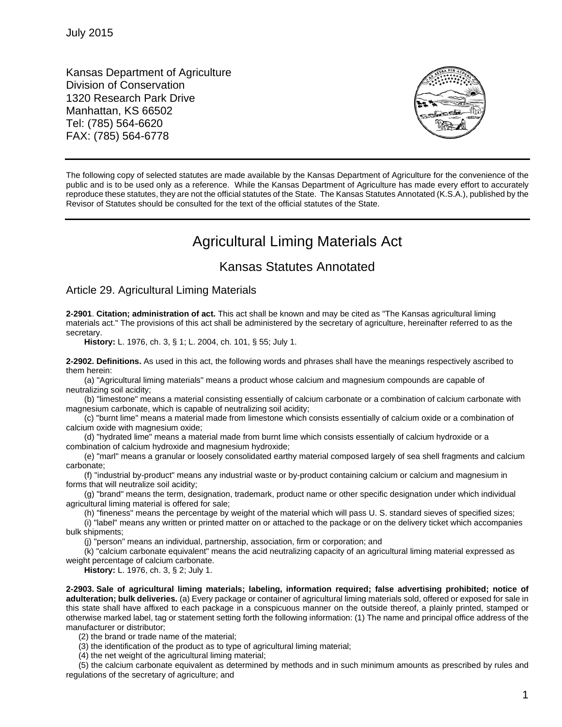Kansas Department of Agriculture Division of Conservation 1320 Research Park Drive Manhattan, KS 66502 Tel: (785) 564-6620 FAX: (785) 564-6778



The following copy of selected statutes are made available by the Kansas Department of Agriculture for the convenience of the public and is to be used only as a reference. While the Kansas Department of Agriculture has made every effort to accurately reproduce these statutes, they are not the official statutes of the State. The Kansas Statutes Annotated (K.S.A.), published by the Revisor of Statutes should be consulted for the text of the official statutes of the State.

## Agricultural Liming Materials Act

## Kansas Statutes Annotated

## Article 29. Agricultural Liming Materials

**2-2901**. **Citation; administration of act.** This act shall be known and may be cited as "The Kansas agricultural liming materials act." The provisions of this act shall be administered by the secretary of agriculture, hereinafter referred to as the secretary.

**History:** L. 1976, ch. 3, § 1; L. 2004, ch. 101, § 55; July 1.

**2-2902. Definitions.** As used in this act, the following words and phrases shall have the meanings respectively ascribed to them herein:

(a) "Agricultural liming materials" means a product whose calcium and magnesium compounds are capable of neutralizing soil acidity;

(b) "limestone" means a material consisting essentially of calcium carbonate or a combination of calcium carbonate with magnesium carbonate, which is capable of neutralizing soil acidity;

(c) "burnt lime" means a material made from limestone which consists essentially of calcium oxide or a combination of calcium oxide with magnesium oxide;

(d) "hydrated lime" means a material made from burnt lime which consists essentially of calcium hydroxide or a combination of calcium hydroxide and magnesium hydroxide;

(e) "marl" means a granular or loosely consolidated earthy material composed largely of sea shell fragments and calcium carbonate;

(f) "industrial by-product" means any industrial waste or by-product containing calcium or calcium and magnesium in forms that will neutralize soil acidity;

(g) "brand" means the term, designation, trademark, product name or other specific designation under which individual agricultural liming material is offered for sale;

(h) "fineness" means the percentage by weight of the material which will pass U. S. standard sieves of specified sizes; (i) "label" means any written or printed matter on or attached to the package or on the delivery ticket which accompanies bulk shipments;

(j) "person" means an individual, partnership, association, firm or corporation; and

(k) "calcium carbonate equivalent" means the acid neutralizing capacity of an agricultural liming material expressed as weight percentage of calcium carbonate.

**History:** L. 1976, ch. 3, § 2; July 1.

**2-2903. Sale of agricultural liming materials; labeling, information required; false advertising prohibited; notice of adulteration; bulk deliveries.** (a) Every package or container of agricultural liming materials sold, offered or exposed for sale in this state shall have affixed to each package in a conspicuous manner on the outside thereof, a plainly printed, stamped or otherwise marked label, tag or statement setting forth the following information: (1) The name and principal office address of the manufacturer or distributor;

(2) the brand or trade name of the material;

(3) the identification of the product as to type of agricultural liming material;

(4) the net weight of the agricultural liming material;

(5) the calcium carbonate equivalent as determined by methods and in such minimum amounts as prescribed by rules and regulations of the secretary of agriculture; and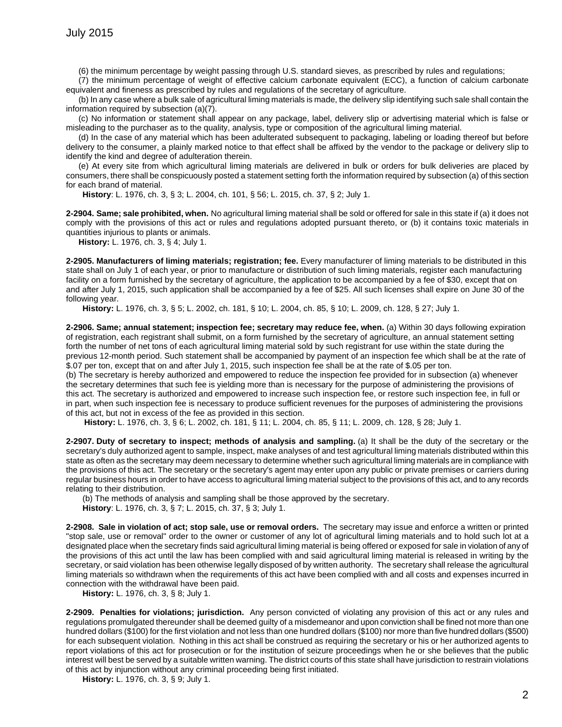(6) the minimum percentage by weight passing through U.S. standard sieves, as prescribed by rules and regulations;

(7) the minimum percentage of weight of effective calcium carbonate equivalent (ECC), a function of calcium carbonate equivalent and fineness as prescribed by rules and regulations of the secretary of agriculture.

(b) In any case where a bulk sale of agricultural liming materials is made, the delivery slip identifying such sale shall contain the information required by subsection (a)(7).

(c) No information or statement shall appear on any package, label, delivery slip or advertising material which is false or misleading to the purchaser as to the quality, analysis, type or composition of the agricultural liming material.

(d) In the case of any material which has been adulterated subsequent to packaging, labeling or loading thereof but before delivery to the consumer, a plainly marked notice to that effect shall be affixed by the vendor to the package or delivery slip to identify the kind and degree of adulteration therein.

(e) At every site from which agricultural liming materials are delivered in bulk or orders for bulk deliveries are placed by consumers, there shall be conspicuously posted a statement setting forth the information required by subsection (a) of this section for each brand of material.

**History**: L. 1976, ch. 3, § 3; L. 2004, ch. 101, § 56; L. 2015, ch. 37, § 2; July 1.

**2-2904. Same; sale prohibited, when.** No agricultural liming material shall be sold or offered for sale in this state if (a) it does not comply with the provisions of this act or rules and regulations adopted pursuant thereto, or (b) it contains toxic materials in quantities injurious to plants or animals.

**History:** L. 1976, ch. 3, § 4; July 1.

**2-2905. Manufacturers of liming materials; registration; fee.** Every manufacturer of liming materials to be distributed in this state shall on July 1 of each year, or prior to manufacture or distribution of such liming materials, register each manufacturing facility on a form furnished by the secretary of agriculture, the application to be accompanied by a fee of \$30, except that on and after July 1, 2015, such application shall be accompanied by a fee of \$25. All such licenses shall expire on June 30 of the following year.

**History:** L. 1976, ch. 3, § 5; L. 2002, ch. 181, § 10; L. 2004, ch. 85, § 10; L. 2009, ch. 128, § 27; July 1.

**2-2906. Same; annual statement; inspection fee; secretary may reduce fee, when.** (a) Within 30 days following expiration of registration, each registrant shall submit, on a form furnished by the secretary of agriculture, an annual statement setting forth the number of net tons of each agricultural liming material sold by such registrant for use within the state during the previous 12-month period. Such statement shall be accompanied by payment of an inspection fee which shall be at the rate of \$.07 per ton, except that on and after July 1, 2015, such inspection fee shall be at the rate of \$.05 per ton.

(b) The secretary is hereby authorized and empowered to reduce the inspection fee provided for in subsection (a) whenever the secretary determines that such fee is yielding more than is necessary for the purpose of administering the provisions of this act. The secretary is authorized and empowered to increase such inspection fee, or restore such inspection fee, in full or in part, when such inspection fee is necessary to produce sufficient revenues for the purposes of administering the provisions of this act, but not in excess of the fee as provided in this section.

**History:** L. 1976, ch. 3, § 6; L. 2002, ch. 181, § 11; L. 2004, ch. 85, § 11; L. 2009, ch. 128, § 28; July 1.

**2-2907. Duty of secretary to inspect; methods of analysis and sampling.** (a) It shall be the duty of the secretary or the secretary's duly authorized agent to sample, inspect, make analyses of and test agricultural liming materials distributed within this state as often as the secretary may deem necessary to determine whether such agricultural liming materials are in compliance with the provisions of this act. The secretary or the secretary's agent may enter upon any public or private premises or carriers during regular business hours in order to have access to agricultural liming material subject to the provisions of this act, and to any records relating to their distribution.

(b) The methods of analysis and sampling shall be those approved by the secretary. **History**: L. 1976, ch. 3, § 7; L. 2015, ch. 37, § 3; July 1.

**2-2908. Sale in violation of act; stop sale, use or removal orders.** The secretary may issue and enforce a written or printed "stop sale, use or removal" order to the owner or customer of any lot of agricultural liming materials and to hold such lot at a designated place when the secretary finds said agricultural liming material is being offered or exposed for sale in violation of any of the provisions of this act until the law has been complied with and said agricultural liming material is released in writing by the secretary, or said violation has been otherwise legally disposed of by written authority. The secretary shall release the agricultural liming materials so withdrawn when the requirements of this act have been complied with and all costs and expenses incurred in connection with the withdrawal have been paid.

**History:** L. 1976, ch. 3, § 8; July 1.

**2-2909. Penalties for violations; jurisdiction.** Any person convicted of violating any provision of this act or any rules and regulations promulgated thereunder shall be deemed guilty of a misdemeanor and upon conviction shall be fined not more than one hundred dollars (\$100) for the first violation and not less than one hundred dollars (\$100) nor more than five hundred dollars (\$500) for each subsequent violation. Nothing in this act shall be construed as requiring the secretary or his or her authorized agents to report violations of this act for prosecution or for the institution of seizure proceedings when he or she believes that the public interest will best be served by a suitable written warning. The district courts of this state shall have jurisdiction to restrain violations of this act by injunction without any criminal proceeding being first initiated.

**History:** L. 1976, ch. 3, § 9; July 1.